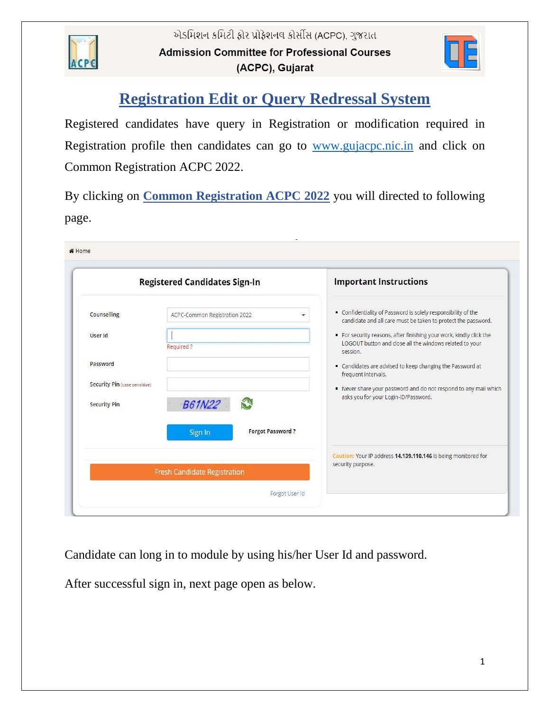



## **Registration Edit or Query Redressal System**

Registered candidates have query in Registration or modification required in Registration profile then candidates can go to [www.gujacpc.nic.in](http://www.gujacpc.nic.in/) and click on Common Registration ACPC 2022.

By clicking on **Common Registration ACPC 2022** you will directed to following page.

|                                                                                                   | <b>Registered Candidates Sign-In</b>                                                                    | <b>Important Instructions</b>                                                                                                                                                                                                                                                                                                                                                                                                                                        |
|---------------------------------------------------------------------------------------------------|---------------------------------------------------------------------------------------------------------|----------------------------------------------------------------------------------------------------------------------------------------------------------------------------------------------------------------------------------------------------------------------------------------------------------------------------------------------------------------------------------------------------------------------------------------------------------------------|
| Counselling<br>User Id<br>Password<br><b>Security Pin (case sensitive)</b><br><b>Security Pin</b> | ACPC-Common Registration 2022<br>Required?<br>S.<br><b>B61N22</b><br><b>Forgot Password?</b><br>Sign In | Confidentiality of Password is solely responsibility of the<br>candidate and all care must be taken to protect the password.<br>For security reasons, after finishing your work, kindly click the<br>LOGOUT button and close all the windows related to your<br>session.<br>Candidates are advised to keep changing the Password at<br>frequent intervals.<br>Never share your password and do not respond to any mail which<br>asks you for your Login-ID/Password. |
|                                                                                                   | <b>Fresh Candidate Registration</b>                                                                     | Caution: Your IP address 14.139.110.146 is being monitored for<br>security purpose.                                                                                                                                                                                                                                                                                                                                                                                  |

Candidate can long in to module by using his/her User Id and password.

After successful sign in, next page open as below.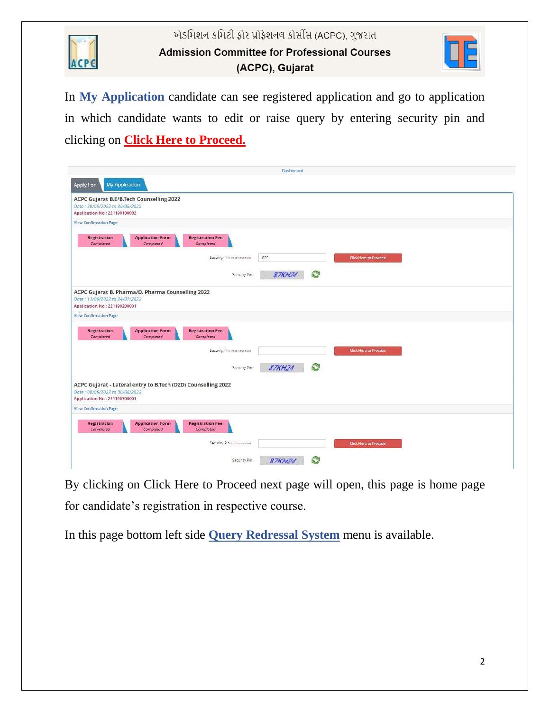

એડમિશન કમિટી ફોર પ્રોફેશનલ કોર્સીસ (ACPC), ગુજરાત **Admission Committee for Professional Courses** (ACPC), Gujarat



In **My Application** candidate can see registered application and go to application in which candidate wants to edit or raise query by entering security pin and clicking on **Click Here to Proceed.**

|                                                                                                                                 | Dashboard          |                              |
|---------------------------------------------------------------------------------------------------------------------------------|--------------------|------------------------------|
| <b>My Application</b><br>Apply For                                                                                              |                    |                              |
| ACPC Gujarat B.E/B.Tech Counselling 2022<br>Date: 30/05/2022 to 30/06/2022<br>Application No: 221190100002                      |                    |                              |
| <b>View Confirmation Page</b>                                                                                                   |                    |                              |
| <b>Application Form</b><br><b>Registration Fee</b><br>Registration<br>Completed<br>Completed<br>Completed                       |                    |                              |
| Security Pin (case sensitive)                                                                                                   | 875                | <b>Click Here to Proceed</b> |
| Security Pin                                                                                                                    | S<br><b>87KH24</b> |                              |
| ACPC Gujarat B. Pharma/D. Pharma Counselling 2022<br>Date: 13/06/2022 to 24/07/2022<br>Application No: 221190200001             |                    |                              |
| <b>View Confirmation Page</b>                                                                                                   |                    |                              |
| <b>Registration Fee</b><br><b>Registration</b><br><b>Application Form</b><br>Completed<br>Completed<br>Completed                |                    |                              |
| Security Pin (case sensitive)                                                                                                   |                    | Click Here to Proceed        |
| Security Pin                                                                                                                    | S<br><b>87KH24</b> |                              |
| ACPC Gujarat - Lateral entry to B.Tech (D2D) Counselling 2022<br>Date: 08/06/2022 to 30/06/2022<br>Application No: 221190700001 |                    |                              |
| <b>View Confirmation Page</b>                                                                                                   |                    |                              |
| <b>Application Form</b><br><b>Registration Fee</b><br><b>Registration</b><br>Completed<br>Completed<br>Completed                |                    |                              |
| Security Pin (case sensitive)                                                                                                   |                    | <b>Click Here to Proceed</b> |
| Security Pin                                                                                                                    | 87KH24             |                              |

By clicking on Click Here to Proceed next page will open, this page is home page for candidate's registration in respective course.

In this page bottom left side **Query Redressal System** menu is available.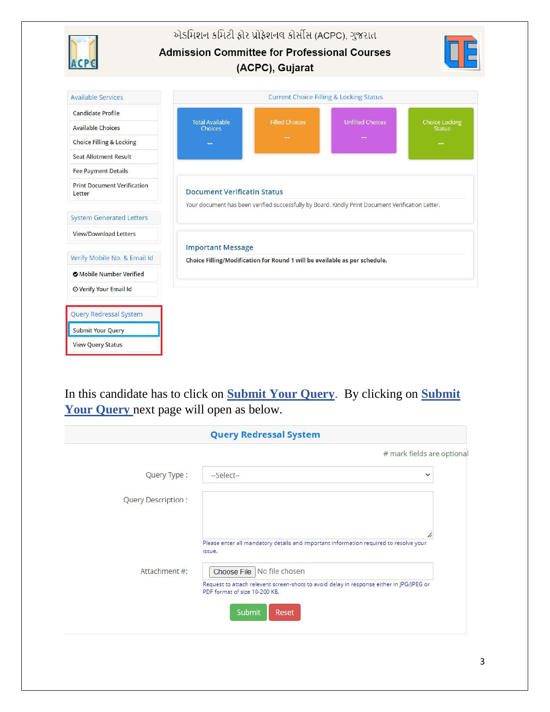એડમિશન કમિટી ફોર પ્રોફેશનલ કોર્સીસ (ACPC), ગુજરાત **Admission Committee for Professional Courses** (ACPC), Gujarat **Available Services Current Choice Filling & Locking Status** Candidate Profile Total Available<br>Choices **Filled Choices Unfilled Choices** ice Locking **Available Choices Choice Filling & Locking Seat Allotment Result Fee Payment Details Print Document Verification Document Verificatin Status** Letter Your document has been verified successfully by Board. Kindly Print Document Verification Letter. **System Generated Letters** View/Download Letters **Important Message** Verify Mobile No. & Email Id Choice Filling/Modification for Round 1 will be available as per schedule. **O** Mobile Number Verified O Verify Your Email Id Query Redressal System **Submit Your Query View Query Status** 

In this candidate has to click on **Submit Your Query**. By clicking on **Submit**  Your Query next page will open as below.

|                    | <b>Query Redressal System</b>                                                                                             |
|--------------------|---------------------------------------------------------------------------------------------------------------------------|
|                    | # mark fields are optional                                                                                                |
| Query Type:        | --Select--<br>$\checkmark$                                                                                                |
| Query Description: |                                                                                                                           |
|                    | n                                                                                                                         |
|                    | Please enter all mandatory details and important information required to resolve your<br>issue.                           |
| Attachment #:      | Choose File   No file chosen                                                                                              |
|                    | Request to attach relevent screen-shots to avoid delay in response either in JPG/JPEG or<br>PDF format of size 10-200 KB. |
|                    | Submit<br>Reset                                                                                                           |
|                    |                                                                                                                           |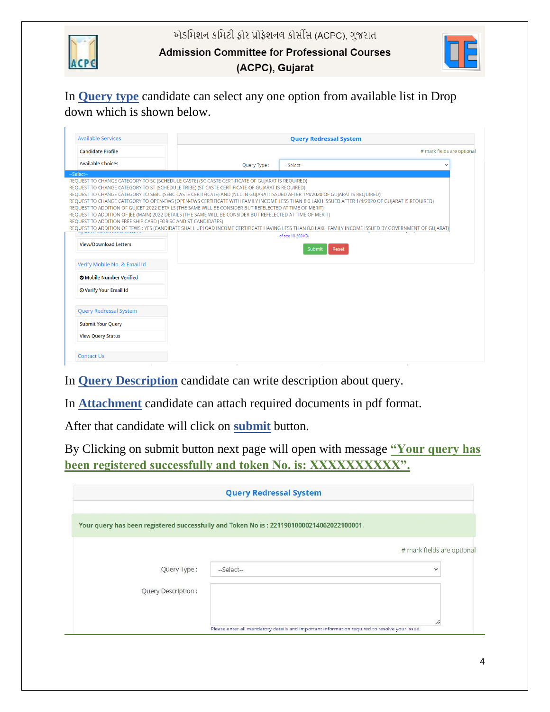એડમિશન કમિટી ફોર પ્રોફેશનલ કોર્સીસ (ACPC), ગુજરાત



**Admission Committee for Professional Courses** 

(ACPC), Gujarat

In **Query type** candidate can select any one option from available list in Drop down which is shown below.

| <b>Available Services</b>                                                   | <b>Query Redressal System</b>                                                                                                                                                                                                                                                                                                                                                                                                                                                                                                                                |                                                                                                                                                                                                                                                                                                                                |              |  |
|-----------------------------------------------------------------------------|--------------------------------------------------------------------------------------------------------------------------------------------------------------------------------------------------------------------------------------------------------------------------------------------------------------------------------------------------------------------------------------------------------------------------------------------------------------------------------------------------------------------------------------------------------------|--------------------------------------------------------------------------------------------------------------------------------------------------------------------------------------------------------------------------------------------------------------------------------------------------------------------------------|--------------|--|
| <b>Candidate Profile</b>                                                    |                                                                                                                                                                                                                                                                                                                                                                                                                                                                                                                                                              | # mark fields are optional                                                                                                                                                                                                                                                                                                     |              |  |
| <b>Available Choices</b>                                                    | Query Type:                                                                                                                                                                                                                                                                                                                                                                                                                                                                                                                                                  | --Select--                                                                                                                                                                                                                                                                                                                     | $\checkmark$ |  |
| --Select--<br>REQUEST TO ADDITION FREE SHIP CARD (FOR SC AND ST CANDIDATES) | REQUEST TO CHANGE CATEGORY TO SC (SCHEDULE CASTE) (SC CASTE CERTIFICATE OF GUJARAT IS REQUIRED)<br>REQUEST TO CHANGE CATEGORY TO ST (SCHEDULE TRIBE) (ST CASTE CERTIFICATE OF GUJARAT IS REQUIRED)<br>REQUEST TO CHANGE CATEGORY TO SEBC (SEBC CASTE CERTIFICATE) AND (NCL IN GUJARATI ISSUED AFTER 1/4/2020 OF GUJARAT IS REQUIRED)<br>REQUEST TO ADDITION OF GUJCET 2022 DETAILS (THE SAME WILL BE CONSIDER BUT REFELECTED AT TIME OF MERIT)<br>REQUEST TO ADDITION OF JEE (MAIN) 2022 DETAILS (THE SAME WILL BE CONSIDER BUT REFELECTED AT TIME OF MERIT) | REQUEST TO CHANGE CATEGORY TO OPEN-EWS (OPEN-EWS CERTIFICATE WITH FAMILY INCOME LESS THAN 8.0 LAKH ISSUED AFTER 1/4/2020 OF GUJARAT IS REQUIRED)<br>REQUEST TO ADDITION OF TFWS: YES (CANDIDATE SHALL UPLOAD INCOME CERTIFICATE HAVING LESS THAN 8.0 LAKH FAMILY INCOME ISSUED BY GOVERNMENT OF GUJARAT)<br>of size 10-200 KB. |              |  |
| <b>View/Download Letters</b><br>Verify Mobile No. & Email Id                |                                                                                                                                                                                                                                                                                                                                                                                                                                                                                                                                                              | Reset<br><b>Submit</b>                                                                                                                                                                                                                                                                                                         |              |  |
| <b>O</b> Mobile Number Verified<br><b>O Verify Your Email Id</b>            |                                                                                                                                                                                                                                                                                                                                                                                                                                                                                                                                                              |                                                                                                                                                                                                                                                                                                                                |              |  |
| <b>Query Redressal System</b>                                               |                                                                                                                                                                                                                                                                                                                                                                                                                                                                                                                                                              |                                                                                                                                                                                                                                                                                                                                |              |  |
| <b>Submit Your Query</b>                                                    |                                                                                                                                                                                                                                                                                                                                                                                                                                                                                                                                                              |                                                                                                                                                                                                                                                                                                                                |              |  |
| <b>View Query Status</b>                                                    |                                                                                                                                                                                                                                                                                                                                                                                                                                                                                                                                                              |                                                                                                                                                                                                                                                                                                                                |              |  |
| <b>Contact Us</b>                                                           |                                                                                                                                                                                                                                                                                                                                                                                                                                                                                                                                                              | $\mathbf{r}$                                                                                                                                                                                                                                                                                                                   | $\mathbf{L}$ |  |

In **Query Description** candidate can write description about query.

In **Attachment** candidate can attach required documents in pdf format.

After that candidate will click on **submit** button.

By Clicking on submit button next page will open with message **"Your query has**  been registered successfully and token No. is: XXXXXXXXXX<sup>"</sup>.

|                                                                                          | <b>Query Redressal System</b> |                            |
|------------------------------------------------------------------------------------------|-------------------------------|----------------------------|
| Your query has been registered successfully and Token No is: 22119010000214062022100001. |                               |                            |
|                                                                                          |                               | # mark fields are optional |
| Query Type:                                                                              | --Select--                    | $\checkmark$               |
| <b>Query Description:</b>                                                                |                               |                            |
|                                                                                          |                               |                            |
|                                                                                          |                               | $^{\prime\prime}$          |